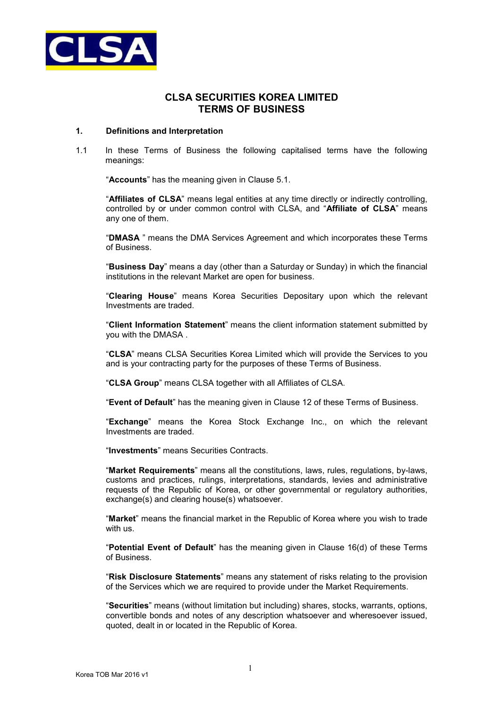

# **CLSA SECURITIES KOREA LIMITED TERMS OF BUSINESS**

#### **1. Definitions and Interpretation**

1.1 In these Terms of Business the following capitalised terms have the following meanings:

"**Accounts**" has the meaning given in Clause 5.1.

"**Affiliates of CLSA**" means legal entities at any time directly or indirectly controlling, controlled by or under common control with CLSA, and "**Affiliate of CLSA**" means any one of them.

"**DMASA** " means the DMA Services Agreement and which incorporates these Terms of Business.

"**Business Day**" means a day (other than a Saturday or Sunday) in which the financial institutions in the relevant Market are open for business.

"**Clearing House**" means Korea Securities Depositary upon which the relevant Investments are traded.

"**Client Information Statement**" means the client information statement submitted by you with the DMASA .

"**CLSA**" means CLSA Securities Korea Limited which will provide the Services to you and is your contracting party for the purposes of these Terms of Business.

"**CLSA Group**" means CLSA together with all Affiliates of CLSA.

"**Event of Default**" has the meaning given in Clause 12 of these Terms of Business.

"**Exchange**" means the Korea Stock Exchange Inc., on which the relevant Investments are traded.

"**Investments**" means Securities Contracts.

"**Market Requirements**" means all the constitutions, laws, rules, regulations, by-laws, customs and practices, rulings, interpretations, standards, levies and administrative requests of the Republic of Korea, or other governmental or regulatory authorities, exchange(s) and clearing house(s) whatsoever.

"**Market**" means the financial market in the Republic of Korea where you wish to trade with us.

"**Potential Event of Default**" has the meaning given in Clause 16(d) of these Terms of Business.

"**Risk Disclosure Statements**" means any statement of risks relating to the provision of the Services which we are required to provide under the Market Requirements.

"**Securities**" means (without limitation but including) shares, stocks, warrants, options, convertible bonds and notes of any description whatsoever and wheresoever issued, quoted, dealt in or located in the Republic of Korea.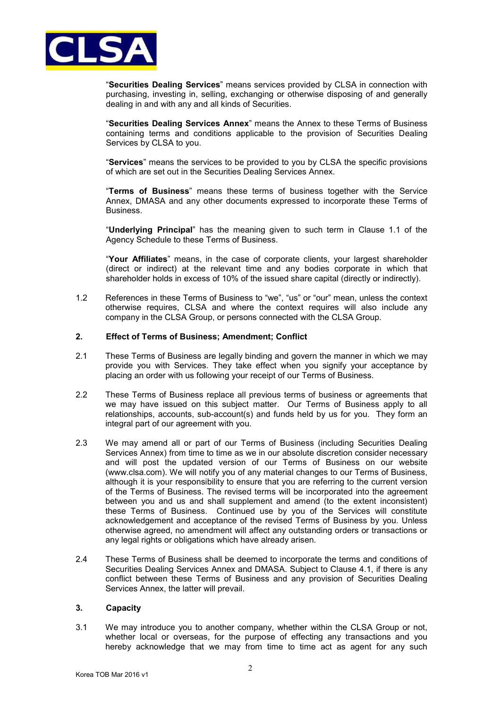

"**Securities Dealing Services**" means services provided by CLSA in connection with purchasing, investing in, selling, exchanging or otherwise disposing of and generally dealing in and with any and all kinds of Securities.

"**Securities Dealing Services Annex**" means the Annex to these Terms of Business containing terms and conditions applicable to the provision of Securities Dealing Services by CLSA to you.

"**Services**" means the services to be provided to you by CLSA the specific provisions of which are set out in the Securities Dealing Services Annex.

"**Terms of Business**" means these terms of business together with the Service Annex, DMASA and any other documents expressed to incorporate these Terms of Business.

"**Underlying Principal**" has the meaning given to such term in Clause 1.1 of the Agency Schedule to these Terms of Business.

"**Your Affiliates**" means, in the case of corporate clients, your largest shareholder (direct or indirect) at the relevant time and any bodies corporate in which that shareholder holds in excess of 10% of the issued share capital (directly or indirectly).

1.2 References in these Terms of Business to "we", "us" or "our" mean, unless the context otherwise requires, CLSA and where the context requires will also include any company in the CLSA Group, or persons connected with the CLSA Group.

### **2. Effect of Terms of Business; Amendment; Conflict**

- 2.1 These Terms of Business are legally binding and govern the manner in which we may provide you with Services. They take effect when you signify your acceptance by placing an order with us following your receipt of our Terms of Business.
- 2.2 These Terms of Business replace all previous terms of business or agreements that we may have issued on this subject matter. Our Terms of Business apply to all relationships, accounts, sub-account(s) and funds held by us for you. They form an integral part of our agreement with you.
- 2.3 We may amend all or part of our Terms of Business (including Securities Dealing Services Annex) from time to time as we in our absolute discretion consider necessary and will post the updated version of our Terms of Business on our website (www.clsa.com). We will notify you of any material changes to our Terms of Business, although it is your responsibility to ensure that you are referring to the current version of the Terms of Business. The revised terms will be incorporated into the agreement between you and us and shall supplement and amend (to the extent inconsistent) these Terms of Business. Continued use by you of the Services will constitute acknowledgement and acceptance of the revised Terms of Business by you. Unless otherwise agreed, no amendment will affect any outstanding orders or transactions or any legal rights or obligations which have already arisen.
- 2.4 These Terms of Business shall be deemed to incorporate the terms and conditions of Securities Dealing Services Annex and DMASA. Subject to Clause 4.1, if there is any conflict between these Terms of Business and any provision of Securities Dealing Services Annex, the latter will prevail.

#### **3. Capacity**

3.1 We may introduce you to another company, whether within the CLSA Group or not, whether local or overseas, for the purpose of effecting any transactions and you hereby acknowledge that we may from time to time act as agent for any such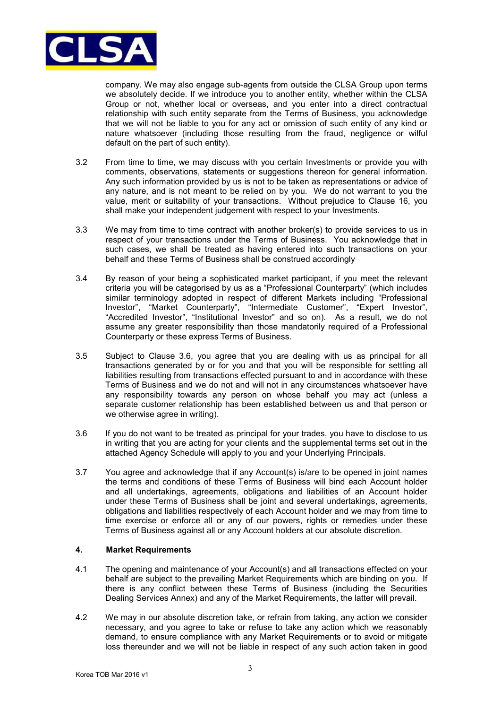

company. We may also engage sub-agents from outside the CLSA Group upon terms we absolutely decide. If we introduce you to another entity, whether within the CLSA Group or not, whether local or overseas, and you enter into a direct contractual relationship with such entity separate from the Terms of Business, you acknowledge that we will not be liable to you for any act or omission of such entity of any kind or nature whatsoever (including those resulting from the fraud, negligence or wilful default on the part of such entity).

- 3.2 From time to time, we may discuss with you certain Investments or provide you with comments, observations, statements or suggestions thereon for general information. Any such information provided by us is not to be taken as representations or advice of any nature, and is not meant to be relied on by you. We do not warrant to you the value, merit or suitability of your transactions. Without prejudice to Clause 16, you shall make your independent judgement with respect to your Investments.
- 3.3 We may from time to time contract with another broker(s) to provide services to us in respect of your transactions under the Terms of Business. You acknowledge that in such cases, we shall be treated as having entered into such transactions on your behalf and these Terms of Business shall be construed accordingly
- 3.4 By reason of your being a sophisticated market participant, if you meet the relevant criteria you will be categorised by us as a "Professional Counterparty" (which includes similar terminology adopted in respect of different Markets including "Professional Investor", "Market Counterparty", "Intermediate Customer", "Expert Investor", "Accredited Investor", "Institutional Investor" and so on). As a result, we do not assume any greater responsibility than those mandatorily required of a Professional Counterparty or these express Terms of Business.
- 3.5 Subject to Clause 3.6, you agree that you are dealing with us as principal for all transactions generated by or for you and that you will be responsible for settling all liabilities resulting from transactions effected pursuant to and in accordance with these Terms of Business and we do not and will not in any circumstances whatsoever have any responsibility towards any person on whose behalf you may act (unless a separate customer relationship has been established between us and that person or we otherwise agree in writing).
- 3.6 If you do not want to be treated as principal for your trades, you have to disclose to us in writing that you are acting for your clients and the supplemental terms set out in the attached Agency Schedule will apply to you and your Underlying Principals.
- 3.7 You agree and acknowledge that if any Account(s) is/are to be opened in joint names the terms and conditions of these Terms of Business will bind each Account holder and all undertakings, agreements, obligations and liabilities of an Account holder under these Terms of Business shall be joint and several undertakings, agreements, obligations and liabilities respectively of each Account holder and we may from time to time exercise or enforce all or any of our powers, rights or remedies under these Terms of Business against all or any Account holders at our absolute discretion.

# **4. Market Requirements**

- 4.1 The opening and maintenance of your Account(s) and all transactions effected on your behalf are subject to the prevailing Market Requirements which are binding on you. If there is any conflict between these Terms of Business (including the Securities Dealing Services Annex) and any of the Market Requirements, the latter will prevail.
- 4.2 We may in our absolute discretion take, or refrain from taking, any action we consider necessary, and you agree to take or refuse to take any action which we reasonably demand, to ensure compliance with any Market Requirements or to avoid or mitigate loss thereunder and we will not be liable in respect of any such action taken in good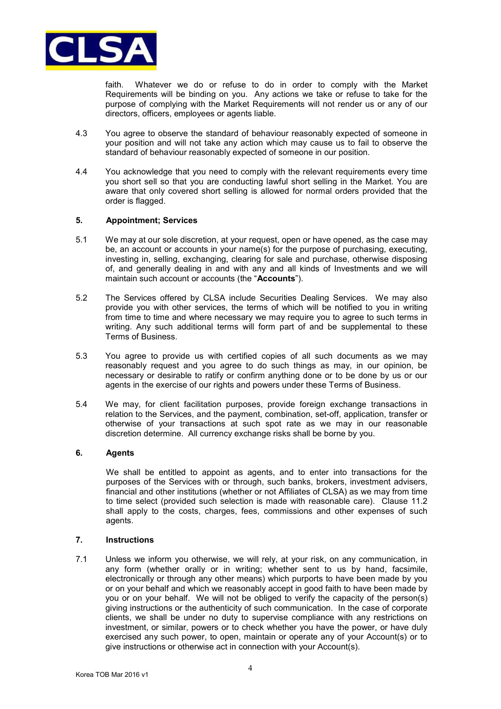

faith. Whatever we do or refuse to do in order to comply with the Market Requirements will be binding on you. Any actions we take or refuse to take for the purpose of complying with the Market Requirements will not render us or any of our directors, officers, employees or agents liable.

- 4.3 You agree to observe the standard of behaviour reasonably expected of someone in your position and will not take any action which may cause us to fail to observe the standard of behaviour reasonably expected of someone in our position.
- 4.4 You acknowledge that you need to comply with the relevant requirements every time you short sell so that you are conducting lawful short selling in the Market. You are aware that only covered short selling is allowed for normal orders provided that the order is flagged.

### **5. Appointment; Services**

- 5.1 We may at our sole discretion, at your request, open or have opened, as the case may be, an account or accounts in your name(s) for the purpose of purchasing, executing, investing in, selling, exchanging, clearing for sale and purchase, otherwise disposing of, and generally dealing in and with any and all kinds of Investments and we will maintain such account or accounts (the "**Accounts**").
- 5.2 The Services offered by CLSA include Securities Dealing Services. We may also provide you with other services, the terms of which will be notified to you in writing from time to time and where necessary we may require you to agree to such terms in writing. Any such additional terms will form part of and be supplemental to these Terms of Business.
- 5.3 You agree to provide us with certified copies of all such documents as we may reasonably request and you agree to do such things as may, in our opinion, be necessary or desirable to ratify or confirm anything done or to be done by us or our agents in the exercise of our rights and powers under these Terms of Business.
- 5.4 We may, for client facilitation purposes, provide foreign exchange transactions in relation to the Services, and the payment, combination, set-off, application, transfer or otherwise of your transactions at such spot rate as we may in our reasonable discretion determine. All currency exchange risks shall be borne by you.

# **6. Agents**

We shall be entitled to appoint as agents, and to enter into transactions for the purposes of the Services with or through, such banks, brokers, investment advisers, financial and other institutions (whether or not Affiliates of CLSA) as we may from time to time select (provided such selection is made with reasonable care). Clause 11.2 shall apply to the costs, charges, fees, commissions and other expenses of such agents.

### **7. Instructions**

7.1 Unless we inform you otherwise, we will rely, at your risk, on any communication, in any form (whether orally or in writing; whether sent to us by hand, facsimile, electronically or through any other means) which purports to have been made by you or on your behalf and which we reasonably accept in good faith to have been made by you or on your behalf. We will not be obliged to verify the capacity of the person(s) giving instructions or the authenticity of such communication. In the case of corporate clients, we shall be under no duty to supervise compliance with any restrictions on investment, or similar, powers or to check whether you have the power, or have duly exercised any such power, to open, maintain or operate any of your Account(s) or to give instructions or otherwise act in connection with your Account(s).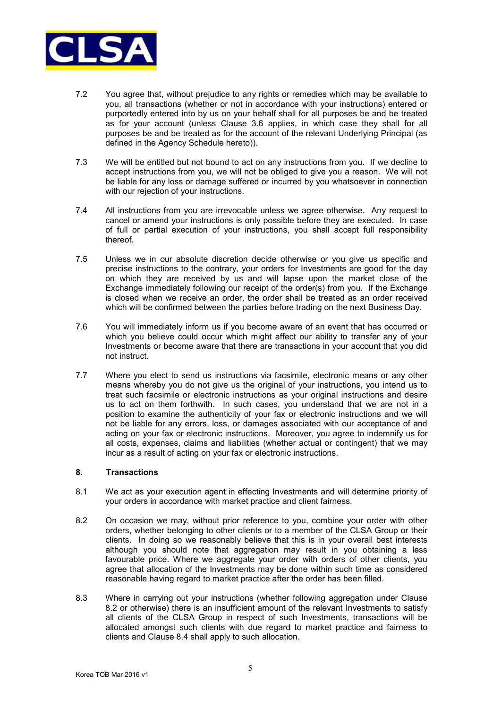

- 7.2 You agree that, without prejudice to any rights or remedies which may be available to you, all transactions (whether or not in accordance with your instructions) entered or purportedly entered into by us on your behalf shall for all purposes be and be treated as for your account (unless Clause 3.6 applies, in which case they shall for all purposes be and be treated as for the account of the relevant Underlying Principal (as defined in the Agency Schedule hereto)).
- 7.3 We will be entitled but not bound to act on any instructions from you. If we decline to accept instructions from you, we will not be obliged to give you a reason. We will not be liable for any loss or damage suffered or incurred by you whatsoever in connection with our rejection of your instructions.
- 7.4 All instructions from you are irrevocable unless we agree otherwise. Any request to cancel or amend your instructions is only possible before they are executed. In case of full or partial execution of your instructions, you shall accept full responsibility thereof.
- 7.5 Unless we in our absolute discretion decide otherwise or you give us specific and precise instructions to the contrary, your orders for Investments are good for the day on which they are received by us and will lapse upon the market close of the Exchange immediately following our receipt of the order(s) from you. If the Exchange is closed when we receive an order, the order shall be treated as an order received which will be confirmed between the parties before trading on the next Business Day.
- 7.6 You will immediately inform us if you become aware of an event that has occurred or which you believe could occur which might affect our ability to transfer any of your Investments or become aware that there are transactions in your account that you did not instruct.
- 7.7 Where you elect to send us instructions via facsimile, electronic means or any other means whereby you do not give us the original of your instructions, you intend us to treat such facsimile or electronic instructions as your original instructions and desire us to act on them forthwith. In such cases, you understand that we are not in a position to examine the authenticity of your fax or electronic instructions and we will not be liable for any errors, loss, or damages associated with our acceptance of and acting on your fax or electronic instructions. Moreover, you agree to indemnify us for all costs, expenses, claims and liabilities (whether actual or contingent) that we may incur as a result of acting on your fax or electronic instructions.

#### **8. Transactions**

- 8.1 We act as your execution agent in effecting Investments and will determine priority of your orders in accordance with market practice and client fairness.
- 8.2 On occasion we may, without prior reference to you, combine your order with other orders, whether belonging to other clients or to a member of the CLSA Group or their clients. In doing so we reasonably believe that this is in your overall best interests although you should note that aggregation may result in you obtaining a less favourable price. Where we aggregate your order with orders of other clients, you agree that allocation of the Investments may be done within such time as considered reasonable having regard to market practice after the order has been filled.
- 8.3 Where in carrying out your instructions (whether following aggregation under Clause 8.2 or otherwise) there is an insufficient amount of the relevant Investments to satisfy all clients of the CLSA Group in respect of such Investments, transactions will be allocated amongst such clients with due regard to market practice and fairness to clients and Clause 8.4 shall apply to such allocation.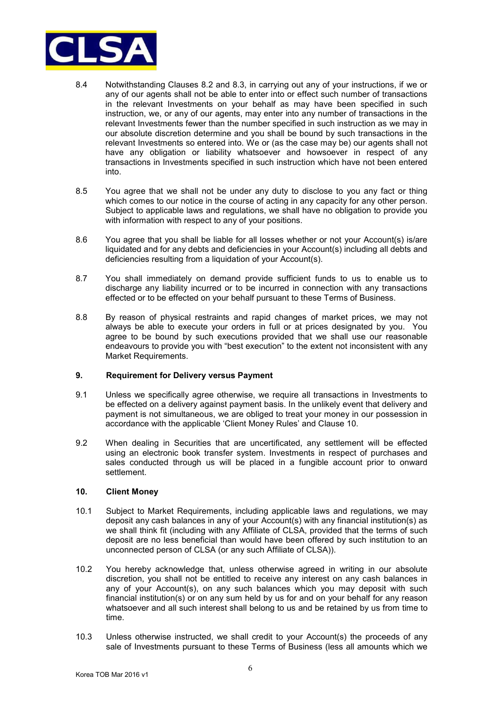

- 8.4 Notwithstanding Clauses 8.2 and 8.3, in carrying out any of your instructions, if we or any of our agents shall not be able to enter into or effect such number of transactions in the relevant Investments on your behalf as may have been specified in such instruction, we, or any of our agents, may enter into any number of transactions in the relevant Investments fewer than the number specified in such instruction as we may in our absolute discretion determine and you shall be bound by such transactions in the relevant Investments so entered into. We or (as the case may be) our agents shall not have any obligation or liability whatsoever and howsoever in respect of any transactions in Investments specified in such instruction which have not been entered into.
- 8.5 You agree that we shall not be under any duty to disclose to you any fact or thing which comes to our notice in the course of acting in any capacity for any other person. Subject to applicable laws and regulations, we shall have no obligation to provide you with information with respect to any of your positions.
- 8.6 You agree that you shall be liable for all losses whether or not your Account(s) is/are liquidated and for any debts and deficiencies in your Account(s) including all debts and deficiencies resulting from a liquidation of your Account(s).
- 8.7 You shall immediately on demand provide sufficient funds to us to enable us to discharge any liability incurred or to be incurred in connection with any transactions effected or to be effected on your behalf pursuant to these Terms of Business.
- 8.8 By reason of physical restraints and rapid changes of market prices, we may not always be able to execute your orders in full or at prices designated by you. You agree to be bound by such executions provided that we shall use our reasonable endeavours to provide you with "best execution" to the extent not inconsistent with any Market Requirements.

# **9. Requirement for Delivery versus Payment**

- 9.1 Unless we specifically agree otherwise, we require all transactions in Investments to be effected on a delivery against payment basis. In the unlikely event that delivery and payment is not simultaneous, we are obliged to treat your money in our possession in accordance with the applicable 'Client Money Rules' and Clause 10.
- 9.2 When dealing in Securities that are uncertificated, any settlement will be effected using an electronic book transfer system. Investments in respect of purchases and sales conducted through us will be placed in a fungible account prior to onward settlement.

# **10. Client Money**

- 10.1 Subject to Market Requirements, including applicable laws and regulations, we may deposit any cash balances in any of your Account(s) with any financial institution(s) as we shall think fit (including with any Affiliate of CLSA, provided that the terms of such deposit are no less beneficial than would have been offered by such institution to an unconnected person of CLSA (or any such Affiliate of CLSA)).
- 10.2 You hereby acknowledge that, unless otherwise agreed in writing in our absolute discretion, you shall not be entitled to receive any interest on any cash balances in any of your Account(s), on any such balances which you may deposit with such financial institution(s) or on any sum held by us for and on your behalf for any reason whatsoever and all such interest shall belong to us and be retained by us from time to time.
- 10.3 Unless otherwise instructed, we shall credit to your Account(s) the proceeds of any sale of Investments pursuant to these Terms of Business (less all amounts which we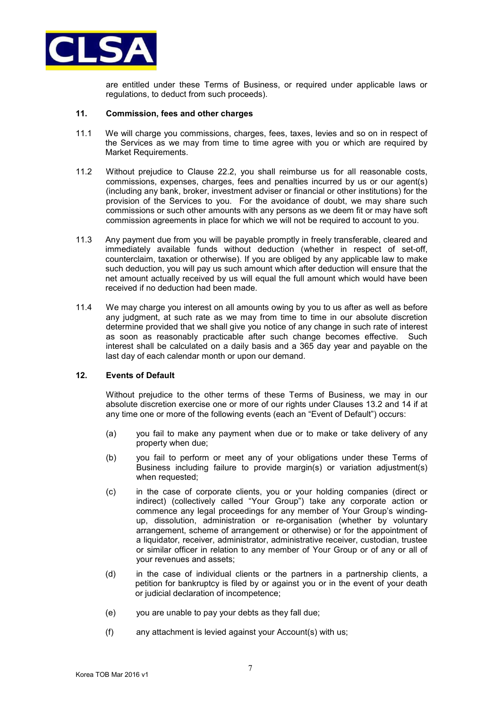

are entitled under these Terms of Business, or required under applicable laws or regulations, to deduct from such proceeds).

#### **11. Commission, fees and other charges**

- 11.1 We will charge you commissions, charges, fees, taxes, levies and so on in respect of the Services as we may from time to time agree with you or which are required by Market Requirements.
- 11.2 Without prejudice to Clause 22.2, you shall reimburse us for all reasonable costs, commissions, expenses, charges, fees and penalties incurred by us or our agent(s) (including any bank, broker, investment adviser or financial or other institutions) for the provision of the Services to you. For the avoidance of doubt, we may share such commissions or such other amounts with any persons as we deem fit or may have soft commission agreements in place for which we will not be required to account to you.
- 11.3 Any payment due from you will be payable promptly in freely transferable, cleared and immediately available funds without deduction (whether in respect of set-off, counterclaim, taxation or otherwise). If you are obliged by any applicable law to make such deduction, you will pay us such amount which after deduction will ensure that the net amount actually received by us will equal the full amount which would have been received if no deduction had been made.
- 11.4 We may charge you interest on all amounts owing by you to us after as well as before any judgment, at such rate as we may from time to time in our absolute discretion determine provided that we shall give you notice of any change in such rate of interest as soon as reasonably practicable after such change becomes effective. Such interest shall be calculated on a daily basis and a 365 day year and payable on the last day of each calendar month or upon our demand.

### **12. Events of Default**

Without prejudice to the other terms of these Terms of Business, we may in our absolute discretion exercise one or more of our rights under Clauses 13.2 and 14 if at any time one or more of the following events (each an "Event of Default") occurs:

- (a) you fail to make any payment when due or to make or take delivery of any property when due;
- (b) you fail to perform or meet any of your obligations under these Terms of Business including failure to provide margin(s) or variation adjustment(s) when requested:
- (c) in the case of corporate clients, you or your holding companies (direct or indirect) (collectively called "Your Group") take any corporate action or commence any legal proceedings for any member of Your Group's windingup, dissolution, administration or re-organisation (whether by voluntary arrangement, scheme of arrangement or otherwise) or for the appointment of a liquidator, receiver, administrator, administrative receiver, custodian, trustee or similar officer in relation to any member of Your Group or of any or all of your revenues and assets;
- (d) in the case of individual clients or the partners in a partnership clients, a petition for bankruptcy is filed by or against you or in the event of your death or judicial declaration of incompetence;
- (e) you are unable to pay your debts as they fall due;
- (f) any attachment is levied against your Account(s) with us;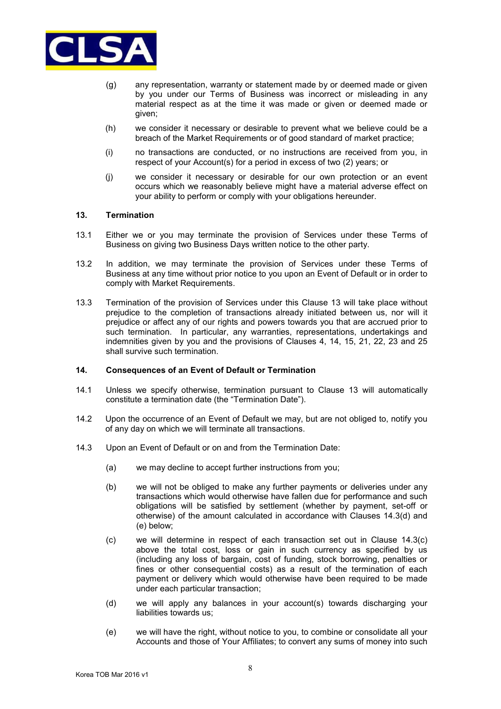

- (g) any representation, warranty or statement made by or deemed made or given by you under our Terms of Business was incorrect or misleading in any material respect as at the time it was made or given or deemed made or given;
- (h) we consider it necessary or desirable to prevent what we believe could be a breach of the Market Requirements or of good standard of market practice;
- (i) no transactions are conducted, or no instructions are received from you, in respect of your Account(s) for a period in excess of two (2) years; or
- (j) we consider it necessary or desirable for our own protection or an event occurs which we reasonably believe might have a material adverse effect on your ability to perform or comply with your obligations hereunder.

#### **13. Termination**

- 13.1 Either we or you may terminate the provision of Services under these Terms of Business on giving two Business Days written notice to the other party.
- 13.2 In addition, we may terminate the provision of Services under these Terms of Business at any time without prior notice to you upon an Event of Default or in order to comply with Market Requirements.
- 13.3 Termination of the provision of Services under this Clause 13 will take place without prejudice to the completion of transactions already initiated between us, nor will it prejudice or affect any of our rights and powers towards you that are accrued prior to such termination. In particular, any warranties, representations, undertakings and indemnities given by you and the provisions of Clauses 4, 14, 15, 21, 22, 23 and 25 shall survive such termination.

### **14. Consequences of an Event of Default or Termination**

- 14.1 Unless we specify otherwise, termination pursuant to Clause 13 will automatically constitute a termination date (the "Termination Date").
- 14.2 Upon the occurrence of an Event of Default we may, but are not obliged to, notify you of any day on which we will terminate all transactions.
- 14.3 Upon an Event of Default or on and from the Termination Date:
	- (a) we may decline to accept further instructions from you;
	- (b) we will not be obliged to make any further payments or deliveries under any transactions which would otherwise have fallen due for performance and such obligations will be satisfied by settlement (whether by payment, set-off or otherwise) of the amount calculated in accordance with Clauses 14.3(d) and (e) below;
	- (c) we will determine in respect of each transaction set out in Clause 14.3(c) above the total cost, loss or gain in such currency as specified by us (including any loss of bargain, cost of funding, stock borrowing, penalties or fines or other consequential costs) as a result of the termination of each payment or delivery which would otherwise have been required to be made under each particular transaction;
	- (d) we will apply any balances in your account(s) towards discharging your liabilities towards us;
	- (e) we will have the right, without notice to you, to combine or consolidate all your Accounts and those of Your Affiliates; to convert any sums of money into such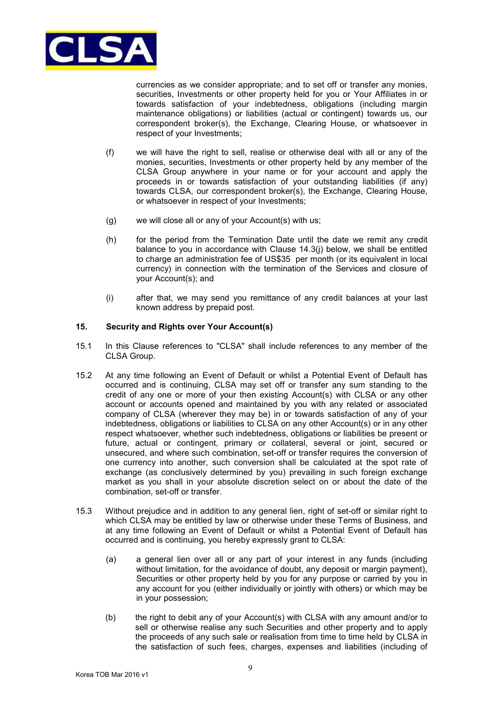

currencies as we consider appropriate; and to set off or transfer any monies, securities, Investments or other property held for you or Your Affiliates in or towards satisfaction of your indebtedness, obligations (including margin maintenance obligations) or liabilities (actual or contingent) towards us, our correspondent broker(s), the Exchange, Clearing House, or whatsoever in respect of your Investments;

- (f) we will have the right to sell, realise or otherwise deal with all or any of the monies, securities, Investments or other property held by any member of the CLSA Group anywhere in your name or for your account and apply the proceeds in or towards satisfaction of your outstanding liabilities (if any) towards CLSA, our correspondent broker(s), the Exchange, Clearing House, or whatsoever in respect of your Investments;
- (g) we will close all or any of your Account(s) with us;
- (h) for the period from the Termination Date until the date we remit any credit balance to you in accordance with Clause 14.3(j) below, we shall be entitled to charge an administration fee of US\$35 per month (or its equivalent in local currency) in connection with the termination of the Services and closure of your Account(s); and
- (i) after that, we may send you remittance of any credit balances at your last known address by prepaid post.

### **15. Security and Rights over Your Account(s)**

- 15.1 In this Clause references to "CLSA" shall include references to any member of the CLSA Group.
- 15.2 At any time following an Event of Default or whilst a Potential Event of Default has occurred and is continuing, CLSA may set off or transfer any sum standing to the credit of any one or more of your then existing Account(s) with CLSA or any other account or accounts opened and maintained by you with any related or associated company of CLSA (wherever they may be) in or towards satisfaction of any of your indebtedness, obligations or liabilities to CLSA on any other Account(s) or in any other respect whatsoever, whether such indebtedness, obligations or liabilities be present or future, actual or contingent, primary or collateral, several or joint, secured or unsecured, and where such combination, set-off or transfer requires the conversion of one currency into another, such conversion shall be calculated at the spot rate of exchange (as conclusively determined by you) prevailing in such foreign exchange market as you shall in your absolute discretion select on or about the date of the combination, set-off or transfer.
- 15.3 Without prejudice and in addition to any general lien, right of set-off or similar right to which CLSA may be entitled by law or otherwise under these Terms of Business, and at any time following an Event of Default or whilst a Potential Event of Default has occurred and is continuing, you hereby expressly grant to CLSA:
	- (a) a general lien over all or any part of your interest in any funds (including without limitation, for the avoidance of doubt, any deposit or margin payment), Securities or other property held by you for any purpose or carried by you in any account for you (either individually or jointly with others) or which may be in your possession;
	- (b) the right to debit any of your Account(s) with CLSA with any amount and/or to sell or otherwise realise any such Securities and other property and to apply the proceeds of any such sale or realisation from time to time held by CLSA in the satisfaction of such fees, charges, expenses and liabilities (including of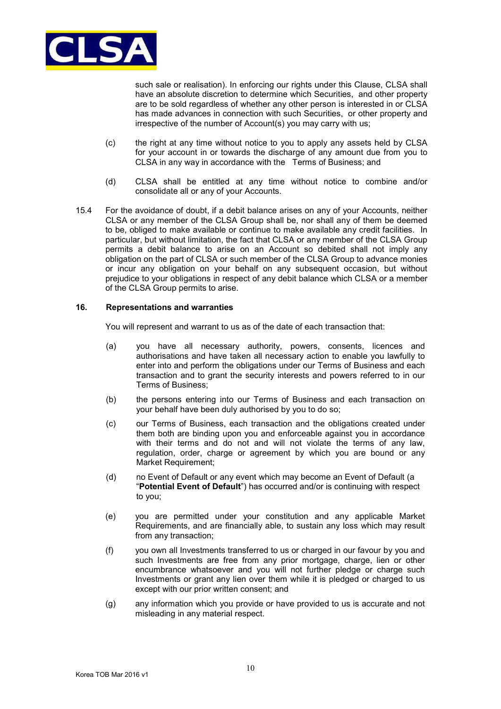

such sale or realisation). In enforcing our rights under this Clause, CLSA shall have an absolute discretion to determine which Securities, and other property are to be sold regardless of whether any other person is interested in or CLSA has made advances in connection with such Securities, or other property and irrespective of the number of Account(s) you may carry with us;

- (c) the right at any time without notice to you to apply any assets held by CLSA for your account in or towards the discharge of any amount due from you to CLSA in any way in accordance with the Terms of Business; and
- (d) CLSA shall be entitled at any time without notice to combine and/or consolidate all or any of your Accounts.
- 15.4 For the avoidance of doubt, if a debit balance arises on any of your Accounts, neither CLSA or any member of the CLSA Group shall be, nor shall any of them be deemed to be, obliged to make available or continue to make available any credit facilities. In particular, but without limitation, the fact that CLSA or any member of the CLSA Group permits a debit balance to arise on an Account so debited shall not imply any obligation on the part of CLSA or such member of the CLSA Group to advance monies or incur any obligation on your behalf on any subsequent occasion, but without prejudice to your obligations in respect of any debit balance which CLSA or a member of the CLSA Group permits to arise.

#### **16. Representations and warranties**

You will represent and warrant to us as of the date of each transaction that:

- (a) you have all necessary authority, powers, consents, licences and authorisations and have taken all necessary action to enable you lawfully to enter into and perform the obligations under our Terms of Business and each transaction and to grant the security interests and powers referred to in our Terms of Business;
- (b) the persons entering into our Terms of Business and each transaction on your behalf have been duly authorised by you to do so;
- (c) our Terms of Business, each transaction and the obligations created under them both are binding upon you and enforceable against you in accordance with their terms and do not and will not violate the terms of any law, regulation, order, charge or agreement by which you are bound or any Market Requirement;
- (d) no Event of Default or any event which may become an Event of Default (a "**Potential Event of Default**") has occurred and/or is continuing with respect to you;
- (e) you are permitted under your constitution and any applicable Market Requirements, and are financially able, to sustain any loss which may result from any transaction;
- (f) you own all Investments transferred to us or charged in our favour by you and such Investments are free from any prior mortgage, charge, lien or other encumbrance whatsoever and you will not further pledge or charge such Investments or grant any lien over them while it is pledged or charged to us except with our prior written consent; and
- (g) any information which you provide or have provided to us is accurate and not misleading in any material respect.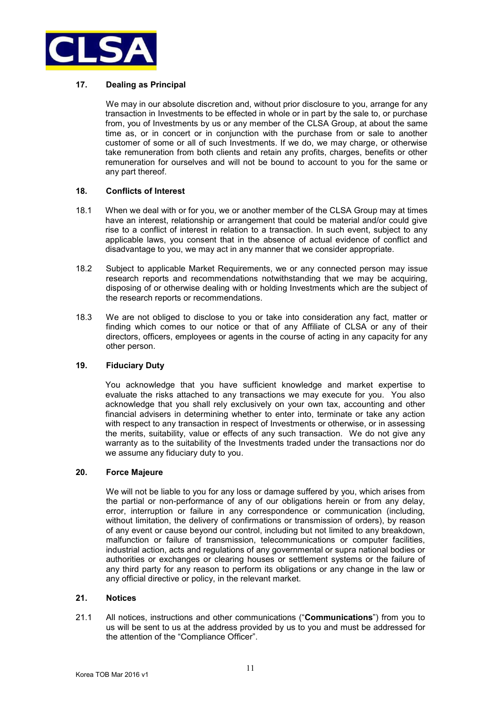

# **17. Dealing as Principal**

We may in our absolute discretion and, without prior disclosure to you, arrange for any transaction in Investments to be effected in whole or in part by the sale to, or purchase from, you of Investments by us or any member of the CLSA Group, at about the same time as, or in concert or in conjunction with the purchase from or sale to another customer of some or all of such Investments. If we do, we may charge, or otherwise take remuneration from both clients and retain any profits, charges, benefits or other remuneration for ourselves and will not be bound to account to you for the same or any part thereof.

### **18. Conflicts of Interest**

- 18.1 When we deal with or for you, we or another member of the CLSA Group may at times have an interest, relationship or arrangement that could be material and/or could give rise to a conflict of interest in relation to a transaction. In such event, subject to any applicable laws, you consent that in the absence of actual evidence of conflict and disadvantage to you, we may act in any manner that we consider appropriate.
- 18.2 Subject to applicable Market Requirements, we or any connected person may issue research reports and recommendations notwithstanding that we may be acquiring, disposing of or otherwise dealing with or holding Investments which are the subject of the research reports or recommendations.
- 18.3 We are not obliged to disclose to you or take into consideration any fact, matter or finding which comes to our notice or that of any Affiliate of CLSA or any of their directors, officers, employees or agents in the course of acting in any capacity for any other person.

# **19. Fiduciary Duty**

You acknowledge that you have sufficient knowledge and market expertise to evaluate the risks attached to any transactions we may execute for you. You also acknowledge that you shall rely exclusively on your own tax, accounting and other financial advisers in determining whether to enter into, terminate or take any action with respect to any transaction in respect of Investments or otherwise, or in assessing the merits, suitability, value or effects of any such transaction. We do not give any warranty as to the suitability of the Investments traded under the transactions nor do we assume any fiduciary duty to you.

#### **20. Force Majeure**

We will not be liable to you for any loss or damage suffered by you, which arises from the partial or non-performance of any of our obligations herein or from any delay, error, interruption or failure in any correspondence or communication (including, without limitation, the delivery of confirmations or transmission of orders), by reason of any event or cause beyond our control, including but not limited to any breakdown, malfunction or failure of transmission, telecommunications or computer facilities, industrial action, acts and regulations of any governmental or supra national bodies or authorities or exchanges or clearing houses or settlement systems or the failure of any third party for any reason to perform its obligations or any change in the law or any official directive or policy, in the relevant market.

#### **21. Notices**

21.1 All notices, instructions and other communications ("**Communications**") from you to us will be sent to us at the address provided by us to you and must be addressed for the attention of the "Compliance Officer".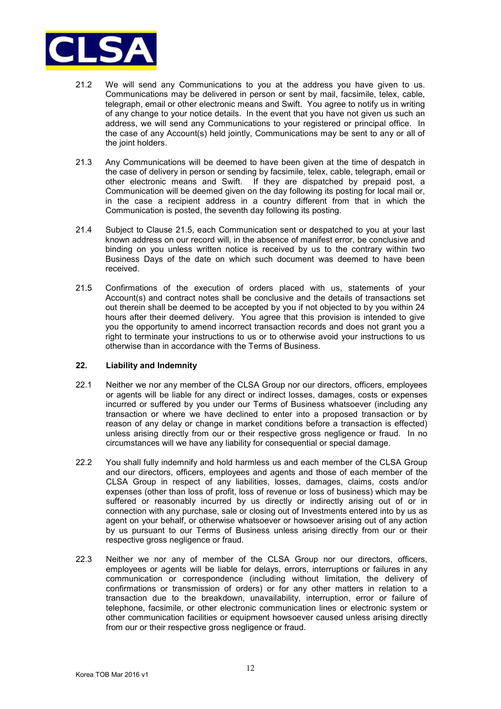

- 21.2 We will send any Communications to you at the address you have given to us. Communications may be delivered in person or sent by mail, facsimile, telex, cable, telegraph, email or other electronic means and Swift. You agree to notify us in writing of any change to your notice details. In the event that you have not given us such an address, we will send any Communications to your registered or principal office. In the case of any Account(s) held jointly, Communications may be sent to any or all of the joint holders.
- 21.3 Any Communications will be deemed to have been given at the time of despatch in the case of delivery in person or sending by facsimile, telex, cable, telegraph, email or other electronic means and Swift. If they are dispatched by prepaid post, a Communication will be deemed given on the day following its posting for local mail or, in the case a recipient address in a country different from that in which the Communication is posted, the seventh day following its posting.
- 21.4 Subject to Clause 21.5, each Communication sent or despatched to you at your last known address on our record will, in the absence of manifest error, be conclusive and binding on you unless written notice is received by us to the contrary within two Business Days of the date on which such document was deemed to have been received.
- 21.5 Confirmations of the execution of orders placed with us, statements of your Account(s) and contract notes shall be conclusive and the details of transactions set out therein shall be deemed to be accepted by you if not objected to by you within 24 hours after their deemed delivery. You agree that this provision is intended to give you the opportunity to amend incorrect transaction records and does not grant you a right to terminate your instructions to us or to otherwise avoid your instructions to us otherwise than in accordance with the Terms of Business.

### **22. Liability and Indemnity**

- 22.1 Neither we nor any member of the CLSA Group nor our directors, officers, employees or agents will be liable for any direct or indirect losses, damages, costs or expenses incurred or suffered by you under our Terms of Business whatsoever (including any transaction or where we have declined to enter into a proposed transaction or by reason of any delay or change in market conditions before a transaction is effected) unless arising directly from our or their respective gross negligence or fraud. In no circumstances will we have any liability for consequential or special damage.
- 22.2 You shall fully indemnify and hold harmless us and each member of the CLSA Group and our directors, officers, employees and agents and those of each member of the CLSA Group in respect of any liabilities, losses, damages, claims, costs and/or expenses (other than loss of profit, loss of revenue or loss of business) which may be suffered or reasonably incurred by us directly or indirectly arising out of or in connection with any purchase, sale or closing out of Investments entered into by us as agent on your behalf, or otherwise whatsoever or howsoever arising out of any action by us pursuant to our Terms of Business unless arising directly from our or their respective gross negligence or fraud.
- 22.3 Neither we nor any of member of the CLSA Group nor our directors, officers, employees or agents will be liable for delays, errors, interruptions or failures in any communication or correspondence (including without limitation, the delivery of confirmations or transmission of orders) or for any other matters in relation to a transaction due to the breakdown, unavailability, interruption, error or failure of telephone, facsimile, or other electronic communication lines or electronic system or other communication facilities or equipment howsoever caused unless arising directly from our or their respective gross negligence or fraud.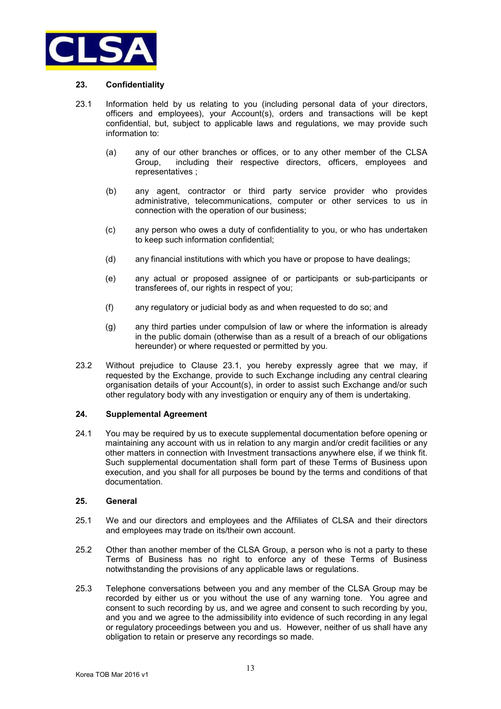

# **23. Confidentiality**

- 23.1Information held by us relating to you (including personal data of your directors, officers and employees), your Account(s), orders and transactions will be kept confidential, but, subject to applicable laws and regulations, we may provide such information to:
	- (a) any of our other branches or offices, or to any other member of the CLSA Group, including their respective directors, officers, employees and representatives ;
	- (b) any agent, contractor or third party service provider who provides administrative, telecommunications, computer or other services to us in connection with the operation of our business;
	- (c) any person who owes a duty of confidentiality to you, or who has undertaken to keep such information confidential;
	- (d) any financial institutions with which you have or propose to have dealings;
	- (e) any actual or proposed assignee of or participants or sub-participants or transferees of, our rights in respect of you;
	- (f) any regulatory or judicial body as and when requested to do so; and
	- (g) any third parties under compulsion of law or where the information is already in the public domain (otherwise than as a result of a breach of our obligations hereunder) or where requested or permitted by you.
- 23.2 Without prejudice to Clause 23.1, you hereby expressly agree that we may, if requested by the Exchange, provide to such Exchange including any central clearing organisation details of your Account(s), in order to assist such Exchange and/or such other regulatory body with any investigation or enquiry any of them is undertaking.

#### **24. Supplemental Agreement**

24.1 You may be required by us to execute supplemental documentation before opening or maintaining any account with us in relation to any margin and/or credit facilities or any other matters in connection with Investment transactions anywhere else, if we think fit. Such supplemental documentation shall form part of these Terms of Business upon execution, and you shall for all purposes be bound by the terms and conditions of that documentation.

#### **25. General**

- 25.1 We and our directors and employees and the Affiliates of CLSA and their directors and employees may trade on its/their own account.
- 25.2 Other than another member of the CLSA Group, a person who is not a party to these Terms of Business has no right to enforce any of these Terms of Business notwithstanding the provisions of any applicable laws or regulations.
- 25.3 Telephone conversations between you and any member of the CLSA Group may be recorded by either us or you without the use of any warning tone. You agree and consent to such recording by us, and we agree and consent to such recording by you, and you and we agree to the admissibility into evidence of such recording in any legal or regulatory proceedings between you and us. However, neither of us shall have any obligation to retain or preserve any recordings so made.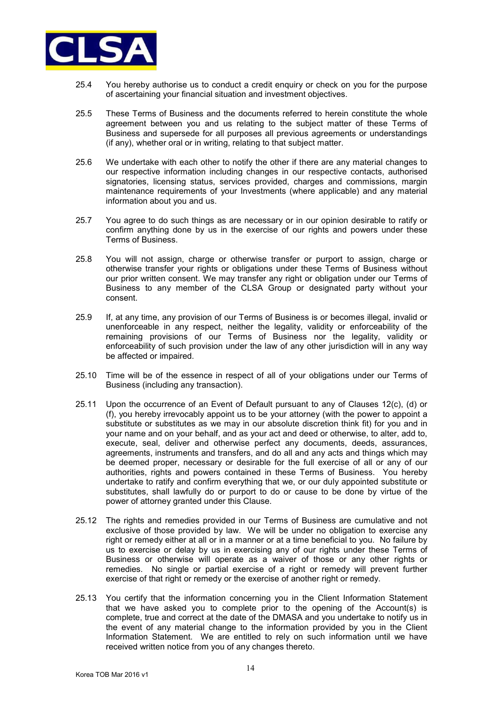

- 25.4 You hereby authorise us to conduct a credit enquiry or check on you for the purpose of ascertaining your financial situation and investment objectives.
- 25.5 These Terms of Business and the documents referred to herein constitute the whole agreement between you and us relating to the subject matter of these Terms of Business and supersede for all purposes all previous agreements or understandings (if any), whether oral or in writing, relating to that subject matter.
- 25.6 We undertake with each other to notify the other if there are any material changes to our respective information including changes in our respective contacts, authorised signatories, licensing status, services provided, charges and commissions, margin maintenance requirements of your Investments (where applicable) and any material information about you and us.
- 25.7 You agree to do such things as are necessary or in our opinion desirable to ratify or confirm anything done by us in the exercise of our rights and powers under these Terms of Business.
- 25.8 You will not assign, charge or otherwise transfer or purport to assign, charge or otherwise transfer your rights or obligations under these Terms of Business without our prior written consent. We may transfer any right or obligation under our Terms of Business to any member of the CLSA Group or designated party without your consent.
- 25.9 If, at any time, any provision of our Terms of Business is or becomes illegal, invalid or unenforceable in any respect, neither the legality, validity or enforceability of the remaining provisions of our Terms of Business nor the legality, validity or enforceability of such provision under the law of any other jurisdiction will in any way be affected or impaired.
- 25.10 Time will be of the essence in respect of all of your obligations under our Terms of Business (including any transaction).
- 25.11 Upon the occurrence of an Event of Default pursuant to any of Clauses 12(c), (d) or (f), you hereby irrevocably appoint us to be your attorney (with the power to appoint a substitute or substitutes as we may in our absolute discretion think fit) for you and in your name and on your behalf, and as your act and deed or otherwise, to alter, add to, execute, seal, deliver and otherwise perfect any documents, deeds, assurances, agreements, instruments and transfers, and do all and any acts and things which may be deemed proper, necessary or desirable for the full exercise of all or any of our authorities, rights and powers contained in these Terms of Business. You hereby undertake to ratify and confirm everything that we, or our duly appointed substitute or substitutes, shall lawfully do or purport to do or cause to be done by virtue of the power of attorney granted under this Clause.
- 25.12 The rights and remedies provided in our Terms of Business are cumulative and not exclusive of those provided by law. We will be under no obligation to exercise any right or remedy either at all or in a manner or at a time beneficial to you. No failure by us to exercise or delay by us in exercising any of our rights under these Terms of Business or otherwise will operate as a waiver of those or any other rights or remedies. No single or partial exercise of a right or remedy will prevent further exercise of that right or remedy or the exercise of another right or remedy.
- 25.13 You certify that the information concerning you in the Client Information Statement that we have asked you to complete prior to the opening of the Account(s) is complete, true and correct at the date of the DMASA and you undertake to notify us in the event of any material change to the information provided by you in the Client Information Statement. We are entitled to rely on such information until we have received written notice from you of any changes thereto.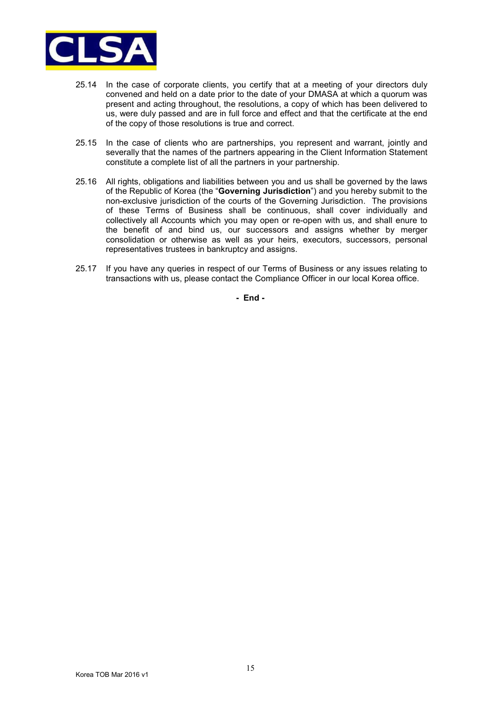

- 25.14 In the case of corporate clients, you certify that at a meeting of your directors duly convened and held on a date prior to the date of your DMASA at which a quorum was present and acting throughout, the resolutions, a copy of which has been delivered to us, were duly passed and are in full force and effect and that the certificate at the end of the copy of those resolutions is true and correct.
- 25.15 In the case of clients who are partnerships, you represent and warrant, jointly and severally that the names of the partners appearing in the Client Information Statement constitute a complete list of all the partners in your partnership.
- 25.16 All rights, obligations and liabilities between you and us shall be governed by the laws of the Republic of Korea (the "**Governing Jurisdiction**") and you hereby submit to the non-exclusive jurisdiction of the courts of the Governing Jurisdiction. The provisions of these Terms of Business shall be continuous, shall cover individually and collectively all Accounts which you may open or re-open with us, and shall enure to the benefit of and bind us, our successors and assigns whether by merger consolidation or otherwise as well as your heirs, executors, successors, personal representatives trustees in bankruptcy and assigns.
- 25.17 If you have any queries in respect of our Terms of Business or any issues relating to transactions with us, please contact the Compliance Officer in our local Korea office.

**- End -**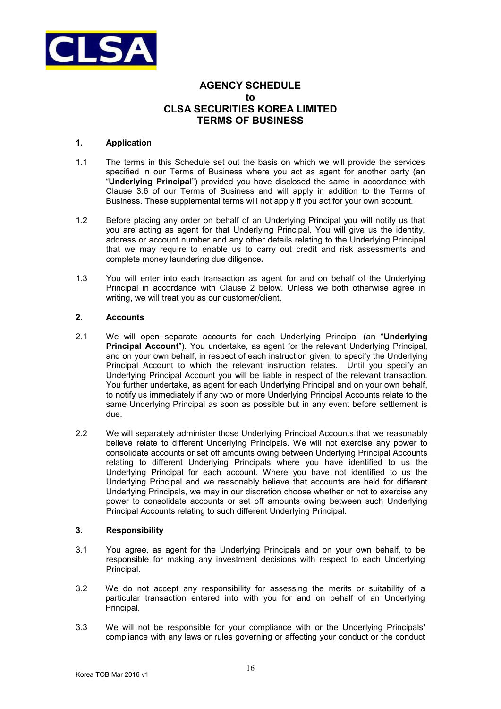

# **AGENCY SCHEDULE to CLSA SECURITIES KOREA LIMITED TERMS OF BUSINESS**

# **1. Application**

- 1.1 The terms in this Schedule set out the basis on which we will provide the services specified in our Terms of Business where you act as agent for another party (an "**Underlying Principal**") provided you have disclosed the same in accordance with Clause 3.6 of our Terms of Business and will apply in addition to the Terms of Business. These supplemental terms will not apply if you act for your own account.
- 1.2 Before placing any order on behalf of an Underlying Principal you will notify us that you are acting as agent for that Underlying Principal. You will give us the identity, address or account number and any other details relating to the Underlying Principal that we may require to enable us to carry out credit and risk assessments and complete money laundering due diligence*.*
- 1.3 You will enter into each transaction as agent for and on behalf of the Underlying Principal in accordance with Clause 2 below. Unless we both otherwise agree in writing, we will treat you as our customer/client.

# **2. Accounts**

- 2.1 We will open separate accounts for each Underlying Principal (an "**Underlying Principal Account**"). You undertake, as agent for the relevant Underlying Principal, and on your own behalf, in respect of each instruction given, to specify the Underlying Principal Account to which the relevant instruction relates. Until you specify an Underlying Principal Account you will be liable in respect of the relevant transaction. You further undertake, as agent for each Underlying Principal and on your own behalf, to notify us immediately if any two or more Underlying Principal Accounts relate to the same Underlying Principal as soon as possible but in any event before settlement is due.
- 2.2 We will separately administer those Underlying Principal Accounts that we reasonably believe relate to different Underlying Principals. We will not exercise any power to consolidate accounts or set off amounts owing between Underlying Principal Accounts relating to different Underlying Principals where you have identified to us the Underlying Principal for each account. Where you have not identified to us the Underlying Principal and we reasonably believe that accounts are held for different Underlying Principals, we may in our discretion choose whether or not to exercise any power to consolidate accounts or set off amounts owing between such Underlying Principal Accounts relating to such different Underlying Principal.

# **3. Responsibility**

- 3.1 You agree, as agent for the Underlying Principals and on your own behalf, to be responsible for making any investment decisions with respect to each Underlying Principal.
- 3.2 We do not accept any responsibility for assessing the merits or suitability of a particular transaction entered into with you for and on behalf of an Underlying Principal.
- 3.3 We will not be responsible for your compliance with or the Underlying Principals' compliance with any laws or rules governing or affecting your conduct or the conduct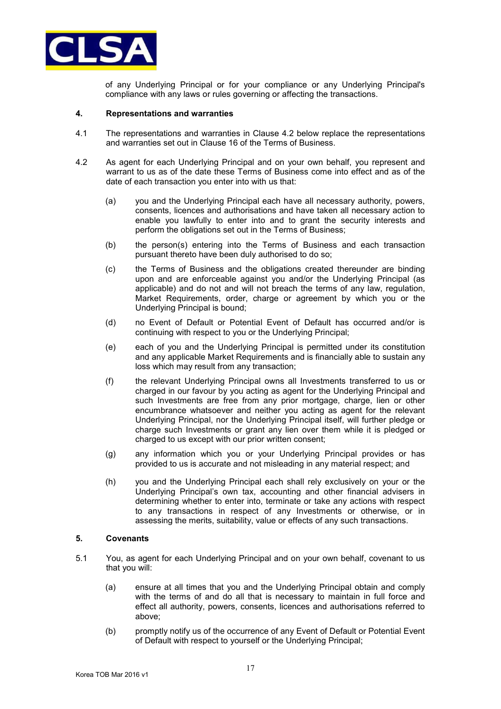

of any Underlying Principal or for your compliance or any Underlying Principal's compliance with any laws or rules governing or affecting the transactions.

#### **4. Representations and warranties**

- 4.1 The representations and warranties in Clause 4.2 below replace the representations and warranties set out in Clause 16 of the Terms of Business.
- 4.2 As agent for each Underlying Principal and on your own behalf, you represent and warrant to us as of the date these Terms of Business come into effect and as of the date of each transaction you enter into with us that:
	- (a) you and the Underlying Principal each have all necessary authority, powers, consents, licences and authorisations and have taken all necessary action to enable you lawfully to enter into and to grant the security interests and perform the obligations set out in the Terms of Business;
	- (b) the person(s) entering into the Terms of Business and each transaction pursuant thereto have been duly authorised to do so;
	- (c) the Terms of Business and the obligations created thereunder are binding upon and are enforceable against you and/or the Underlying Principal (as applicable) and do not and will not breach the terms of any law, regulation, Market Requirements, order, charge or agreement by which you or the Underlying Principal is bound;
	- (d) no Event of Default or Potential Event of Default has occurred and/or is continuing with respect to you or the Underlying Principal;
	- (e) each of you and the Underlying Principal is permitted under its constitution and any applicable Market Requirements and is financially able to sustain any loss which may result from any transaction;
	- (f) the relevant Underlying Principal owns all Investments transferred to us or charged in our favour by you acting as agent for the Underlying Principal and such Investments are free from any prior mortgage, charge, lien or other encumbrance whatsoever and neither you acting as agent for the relevant Underlying Principal, nor the Underlying Principal itself, will further pledge or charge such Investments or grant any lien over them while it is pledged or charged to us except with our prior written consent;
	- (g) any information which you or your Underlying Principal provides or has provided to us is accurate and not misleading in any material respect; and
	- (h) you and the Underlying Principal each shall rely exclusively on your or the Underlying Principal's own tax, accounting and other financial advisers in determining whether to enter into, terminate or take any actions with respect to any transactions in respect of any Investments or otherwise, or in assessing the merits, suitability, value or effects of any such transactions.

#### **5. Covenants**

- 5.1 You, as agent for each Underlying Principal and on your own behalf, covenant to us that you will:
	- (a) ensure at all times that you and the Underlying Principal obtain and comply with the terms of and do all that is necessary to maintain in full force and effect all authority, powers, consents, licences and authorisations referred to above;
	- (b) promptly notify us of the occurrence of any Event of Default or Potential Event of Default with respect to yourself or the Underlying Principal;